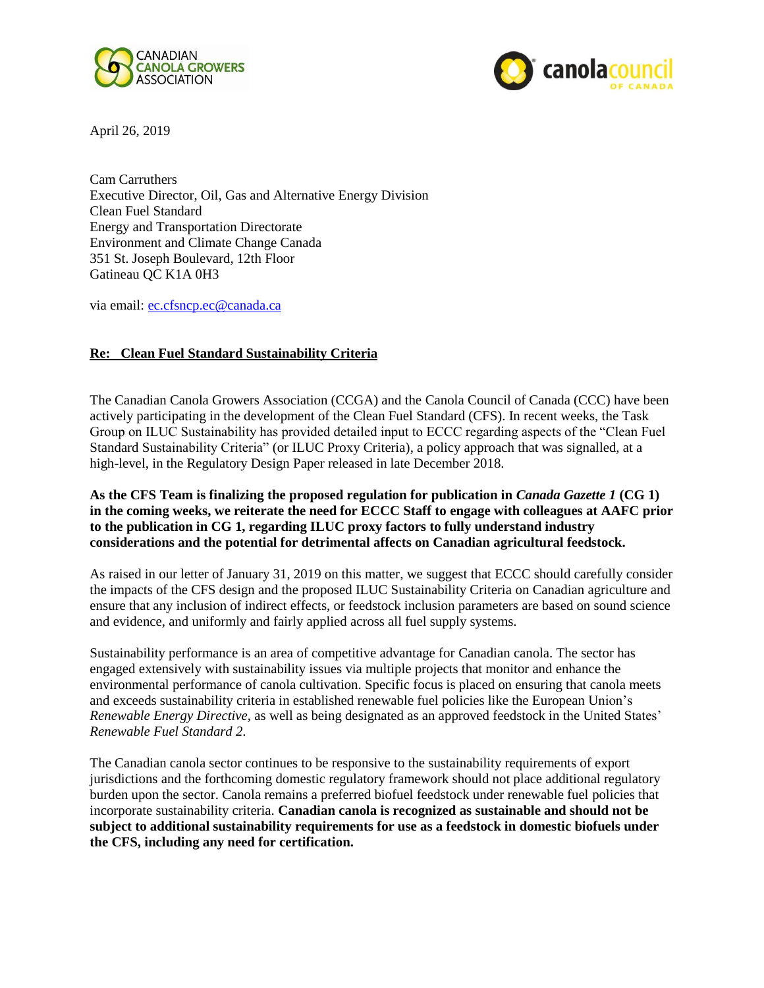



April 26, 2019

Cam Carruthers Executive Director, Oil, Gas and Alternative Energy Division Clean Fuel Standard Energy and Transportation Directorate Environment and Climate Change Canada 351 St. Joseph Boulevard, 12th Floor Gatineau QC K1A 0H3

via email: [ec.cfsncp.ec@canada.ca](mailto:ec.cfsncp.ec@canada.ca)

## **Re: Clean Fuel Standard Sustainability Criteria**

The Canadian Canola Growers Association (CCGA) and the Canola Council of Canada (CCC) have been actively participating in the development of the Clean Fuel Standard (CFS). In recent weeks, the Task Group on ILUC Sustainability has provided detailed input to ECCC regarding aspects of the "Clean Fuel Standard Sustainability Criteria" (or ILUC Proxy Criteria), a policy approach that was signalled, at a high-level, in the Regulatory Design Paper released in late December 2018.

## **As the CFS Team is finalizing the proposed regulation for publication in** *Canada Gazette 1* **(CG 1) in the coming weeks, we reiterate the need for ECCC Staff to engage with colleagues at AAFC prior to the publication in CG 1, regarding ILUC proxy factors to fully understand industry considerations and the potential for detrimental affects on Canadian agricultural feedstock.**

As raised in our letter of January 31, 2019 on this matter, we suggest that ECCC should carefully consider the impacts of the CFS design and the proposed ILUC Sustainability Criteria on Canadian agriculture and ensure that any inclusion of indirect effects, or feedstock inclusion parameters are based on sound science and evidence, and uniformly and fairly applied across all fuel supply systems.

Sustainability performance is an area of competitive advantage for Canadian canola. The sector has engaged extensively with sustainability issues via multiple projects that monitor and enhance the environmental performance of canola cultivation. Specific focus is placed on ensuring that canola meets and exceeds sustainability criteria in established renewable fuel policies like the European Union's *Renewable Energy Directive*, as well as being designated as an approved feedstock in the United States' *Renewable Fuel Standard 2*.

The Canadian canola sector continues to be responsive to the sustainability requirements of export jurisdictions and the forthcoming domestic regulatory framework should not place additional regulatory burden upon the sector. Canola remains a preferred biofuel feedstock under renewable fuel policies that incorporate sustainability criteria. **Canadian canola is recognized as sustainable and should not be subject to additional sustainability requirements for use as a feedstock in domestic biofuels under the CFS, including any need for certification.**